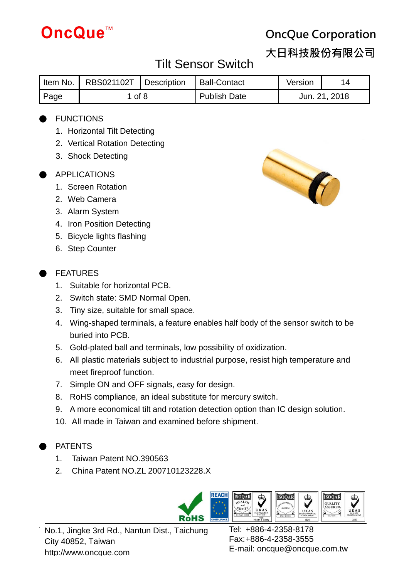

**大日科技股份有限公司**

## Tilt Sensor Switch

|             | Item No.   RBS021102T   Description |  | Ball-Contact | Version | 14            |
|-------------|-------------------------------------|--|--------------|---------|---------------|
| <b>Page</b> | of 8                                |  | Publish Date |         | Jun. 21, 2018 |

#### **FUNCTIONS**

- 1. Horizontal Tilt Detecting
- 2. Vertical Rotation Detecting
- 3. Shock Detecting



- **APPLICATIONS** 
	- 1. Screen Rotation
	- 2. Web Camera
	- 3. Alarm System
	- 4. Iron Position Detecting
	- 5. Bicycle lights flashing
	- 6. Step Counter

### **FEATURES**

- 1. Suitable for horizontal PCB.
- 2. Switch state: SMD Normal Open.
- 3. Tiny size, suitable for small space.
- 4. Wing-shaped terminals, a feature enables half body of the sensor switch to be buried into PCB.
- 5. Gold-plated ball and terminals, low possibility of oxidization.
- 6. All plastic materials subject to industrial purpose, resist high temperature and meet fireproof function.
- 7. Simple ON and OFF signals, easy for design.
- 8. RoHS compliance, an ideal substitute for mercury switch.
- 9. A more economical tilt and rotation detection option than IC design solution.
- 10. All made in Taiwan and examined before shipment.

#### **PATENTS**

.

- 1. Taiwan Patent NO.390563
- 2. China Patent NO.ZL 200710123228.X



No.1, Jingke 3rd Rd., Nantun Dist., Taichung City 40852, Taiwan http://www.oncque.com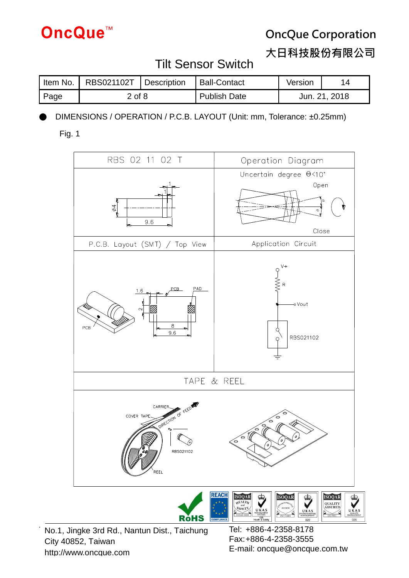

**大日科技股份有限公司**

#### Tilt Sensor Switch

|        | I Item No.   RBS021102T   Description |  | Ball-Contact        | Version | 14            |
|--------|---------------------------------------|--|---------------------|---------|---------------|
| I Page | $2$ of $8$                            |  | <b>Publish Date</b> |         | Jun. 21, 2018 |

DIMENSIONS / OPERATION / P.C.B. LAYOUT (Unit: mm, Tolerance: ±0.25mm)

Fig. 1



City 40852, Taiwan http://www.oncque.com

.

Fax:+886-4-2358-3555 E-mail: oncque@oncque.com.tw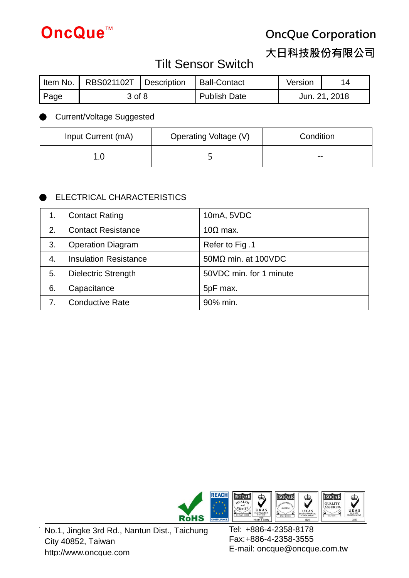

**大日科技股份有限公司**

## Tilt Sensor Switch

|      | Item No.   RBS021102T   Description |  | <b>Ball-Contact</b> | Version |               |
|------|-------------------------------------|--|---------------------|---------|---------------|
| Page | 3 of 8                              |  | <b>Publish Date</b> |         | Jun. 21, 2018 |

#### **Current/Voltage Suggested**

| Input Current (mA) | Operating Voltage (V) | Condition |
|--------------------|-----------------------|-----------|
|                    |                       | $- -$     |

#### **ELECTRICAL CHARACTERISTICS**

|    | <b>Contact Rating</b>        | 10mA, 5VDC                 |
|----|------------------------------|----------------------------|
| 2. | <b>Contact Resistance</b>    | $10\Omega$ max.            |
| 3. | <b>Operation Diagram</b>     | 1. Refer to Fig            |
| 4. | <b>Insulation Resistance</b> | $50M\Omega$ min. at 100VDC |
| 5. | <b>Dielectric Strength</b>   | 50VDC min. for 1 minute    |
| 6. | Capacitance                  | 5pF max.                   |
|    | <b>Conductive Rate</b>       | 90% min.                   |



No.1, Jingke 3rd Rd., Nantun Dist., Taichung City 40852, Taiwan http://www.oncque.com

.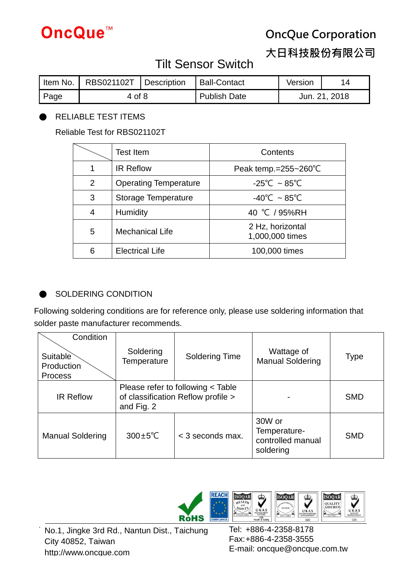

**大日科技股份有限公司**

# Tilt Sensor Switch

| Item No. | RBS021102T   Description |  | Ball-Contact        | Version |               |
|----------|--------------------------|--|---------------------|---------|---------------|
| Page     | 4 of 8                   |  | <b>Publish Date</b> |         | Jun. 21, 2018 |

#### RELIABLE TEST ITEMS

Reliable Test for RBS021102T

|   | <b>Test Item</b>             | Contents                            |
|---|------------------------------|-------------------------------------|
|   | <b>IR Reflow</b>             | Peak temp.= $255 - 260^{\circ}$ C   |
| 2 | <b>Operating Temperature</b> | $-25^{\circ}$ C ~ 85 $^{\circ}$ C   |
| 3 | <b>Storage Temperature</b>   | $-40^{\circ}$ C ~ 85 $^{\circ}$ C   |
| 4 | Humidity                     | 40 °C / 95%RH                       |
| 5 | <b>Mechanical Life</b>       | 2 Hz, horizontal<br>1,000,000 times |
| 6 | <b>Electrical Life</b>       | 100,000 times                       |

#### SOLDERING CONDITION

Following soldering conditions are for reference only, please use soldering information that solder paste manufacturer recommends.

| Condition<br>Suitable<br>Production<br><b>Process</b> | Soldering<br>Temperature                                                              | <b>Soldering Time</b> | Wattage of<br><b>Manual Soldering</b>                    | Type       |
|-------------------------------------------------------|---------------------------------------------------------------------------------------|-----------------------|----------------------------------------------------------|------------|
| <b>IR Reflow</b>                                      | Please refer to following < Table<br>of classification Reflow profile ><br>and Fig. 2 |                       |                                                          | <b>SMD</b> |
| <b>Manual Soldering</b>                               | $300 \pm 5^{\circ}$ C<br>< 3 seconds max.                                             |                       | 30W or<br>Temperature-<br>controlled manual<br>soldering | <b>SMD</b> |



No.1, Jingke 3rd Rd., Nantun Dist., Taichung City 40852, Taiwan http://www.oncque.com

.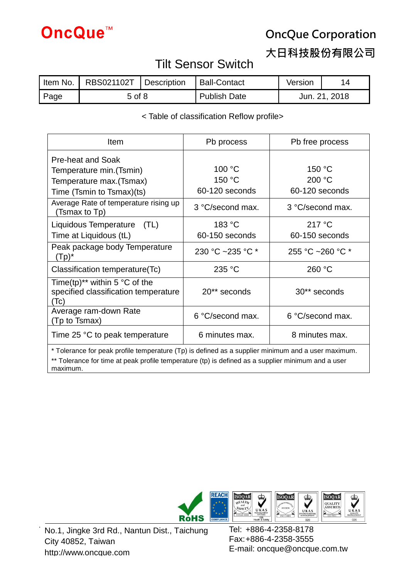

**大日科技股份有限公司**

### Tilt Sensor Switch

| Item No. | RBS021102T Description |  | Ball-Contact        | Version       |  |
|----------|------------------------|--|---------------------|---------------|--|
| Page     | 5 of 8                 |  | <b>Publish Date</b> | Jun. 21, 2018 |  |

#### < Table of classification Reflow profile>

| Item                                                                                                                                                                                                     | Pb process       | Pb free process  |
|----------------------------------------------------------------------------------------------------------------------------------------------------------------------------------------------------------|------------------|------------------|
| <b>Pre-heat and Soak</b>                                                                                                                                                                                 | 100 °C           | 150 °C           |
| Temperature min. (Tsmin)                                                                                                                                                                                 | 150 °C           | 200 °C           |
| Temperature max. (Tsmax)                                                                                                                                                                                 |                  |                  |
| Time (Tsmin to Tsmax)(ts)                                                                                                                                                                                | 60-120 seconds   | 60-120 seconds   |
| Average Rate of temperature rising up<br>(Tsmax to Tp)                                                                                                                                                   | 3 °C/second max. | 3 °C/second max. |
| Liquidous Temperature<br>(TL)                                                                                                                                                                            | 183 °C           | 217 °C           |
| Time at Liquidous (tL)                                                                                                                                                                                   | 60-150 seconds   | 60-150 seconds   |
| Peak package body Temperature<br>$(Tp)^*$                                                                                                                                                                | 230 °C ~235 °C * | 255 °C ~260 °C * |
| Classification temperature(Tc)                                                                                                                                                                           | 235 °C           | 260 °C           |
| Time(tp) <sup>**</sup> within 5 $\degree$ C of the<br>specified classification temperature<br>(Tc)                                                                                                       | 20** seconds     | 30** seconds     |
| Average ram-down Rate<br>(Tp to Tsmax)                                                                                                                                                                   | 6 °C/second max. | 6 °C/second max. |
| Time 25 °C to peak temperature                                                                                                                                                                           | 6 minutes max.   | 8 minutes max.   |
| * Tolerance for peak profile temperature (Tp) is defined as a supplier minimum and a user maximum.<br>** Tolerance for time at peak profile temperature (tp) is defined as a supplier minimum and a user |                  |                  |

temperature (tp) is defined as a supplier minimum and a user maximum.



.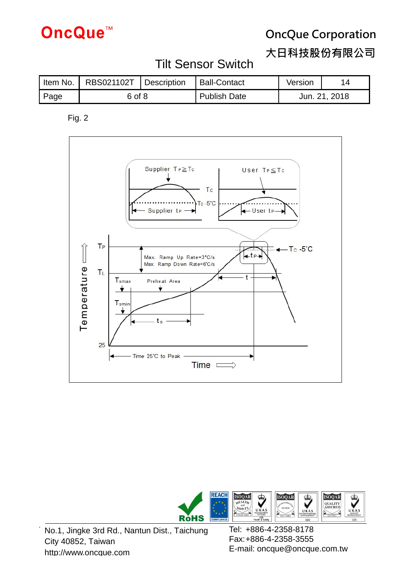

**大日科技股份有限公司**

### Tilt Sensor Switch

|      | Item No.   RBS021102T   Description |  | Ball-Contact        | Version |               |
|------|-------------------------------------|--|---------------------|---------|---------------|
| Page | 6 of 8                              |  | <b>Publish Date</b> |         | Jun. 21, 2018 |

Fig. 2





No.1, Jingke 3rd Rd., Nantun Dist., Taichung City 40852, Taiwan http://www.oncque.com

.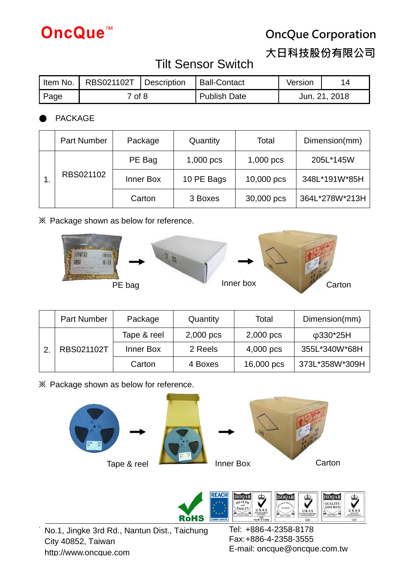

**大日科技股份有限公司**

# Tilt Sensor Switch

|      | Item No.   RBS021102T   Description |  | Ball-Contact | Version |               |
|------|-------------------------------------|--|--------------|---------|---------------|
| Page | <sup>7</sup> of 8                   |  | Publish Date |         | Jun. 21, 2018 |

**PACKAGE** 

| Part Number | Package   | Quantity    | Total       | Dimension(mm)  |
|-------------|-----------|-------------|-------------|----------------|
| RBS021102   | PE Bag    | $1,000$ pcs | $1,000$ pcs | 205L*145W      |
|             | Inner Box | 10 PE Bags  | 10,000 pcs  | 348L*191W*85H  |
|             | Carton    | 3 Boxes     | 30,000 pcs  | 364L*278W*213H |

**※** Package shown as below for reference.



| <b>Part Number</b> | Package     | Quantity               | Total      | Dimension(mm)  |  |
|--------------------|-------------|------------------------|------------|----------------|--|
| RBS021102T         | Tape & reel | 2,000 pcs<br>2,000 pcs |            | φ330*25H       |  |
|                    | Inner Box   | 2 Reels                | 4,000 pcs  | 355L*340W*68H  |  |
|                    | Carton      | 4 Boxes                | 16,000 pcs | 373L*358W*309H |  |

**※** Package shown as below for reference.





No.1, Jingke 3rd Rd., Nantun Dist., Taichung City 40852, Taiwan http://www.oncque.com

.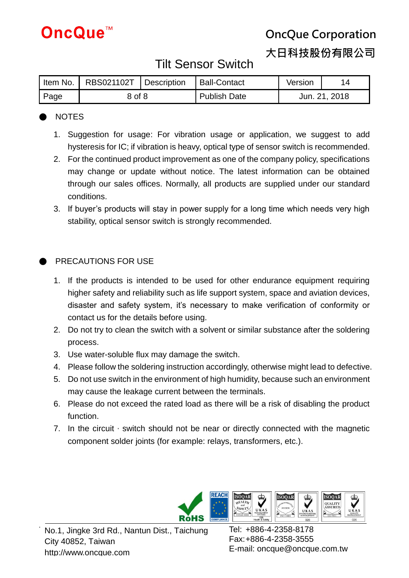

### **大日科技股份有限公司**

### Tilt Sensor Switch

|      | Item No.   RBS021102T   Description |  | Ball-Contact | Version       | 14 |
|------|-------------------------------------|--|--------------|---------------|----|
| Page | 8 of 8                              |  | Publish Date | Jun. 21, 2018 |    |

#### ● NOTES

- 1. Suggestion for usage: For vibration usage or application, we suggest to add hysteresis for IC; if vibration is heavy, optical type of sensor switch is recommended.
- 2. For the continued product improvement as one of the company policy, specifications may change or update without notice. The latest information can be obtained through our sales offices. Normally, all products are supplied under our standard conditions.
- 3. If buyer's products will stay in power supply for a long time which needs very high stability, optical sensor switch is strongly recommended.

#### PRECAUTIONS FOR USE

- 1. If the products is intended to be used for other endurance equipment requiring higher safety and reliability such as life support system, space and aviation devices, disaster and safety system, it's necessary to make verification of conformity or contact us for the details before using.
- 2. Do not try to clean the switch with a solvent or similar substance after the soldering process.
- 3. Use water-soluble flux may damage the switch.
- 4. Please follow the soldering instruction accordingly, otherwise might lead to defective.
- 5. Do not use switch in the environment of high humidity, because such an environment may cause the leakage current between the terminals.
- 6. Please do not exceed the rated load as there will be a risk of disabling the product function.
- 7. In the circuit, switch should not be near or directly connected with the magnetic component solder joints (for example: relays, transformers, etc.).



.